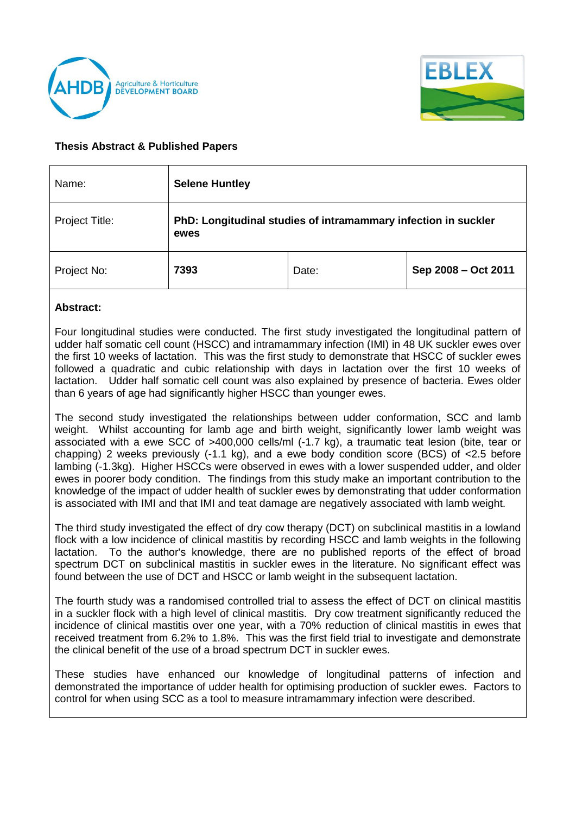



## **Thesis Abstract & Published Papers**

| Name:          | <b>Selene Huntley</b>                                                  |       |                     |
|----------------|------------------------------------------------------------------------|-------|---------------------|
| Project Title: | PhD: Longitudinal studies of intramammary infection in suckler<br>ewes |       |                     |
| Project No:    | 7393                                                                   | Date: | Sep 2008 - Oct 2011 |

## **Abstract:**

Four longitudinal studies were conducted. The first study investigated the longitudinal pattern of udder half somatic cell count (HSCC) and intramammary infection (IMI) in 48 UK suckler ewes over the first 10 weeks of lactation. This was the first study to demonstrate that HSCC of suckler ewes followed a quadratic and cubic relationship with days in lactation over the first 10 weeks of lactation. Udder half somatic cell count was also explained by presence of bacteria. Ewes older than 6 years of age had significantly higher HSCC than younger ewes.

The second study investigated the relationships between udder conformation, SCC and lamb weight. Whilst accounting for lamb age and birth weight, significantly lower lamb weight was associated with a ewe SCC of >400,000 cells/ml (-1.7 kg), a traumatic teat lesion (bite, tear or chapping) 2 weeks previously (-1.1 kg), and a ewe body condition score (BCS) of <2.5 before lambing (-1.3kg). Higher HSCCs were observed in ewes with a lower suspended udder, and older ewes in poorer body condition. The findings from this study make an important contribution to the knowledge of the impact of udder health of suckler ewes by demonstrating that udder conformation is associated with IMI and that IMI and teat damage are negatively associated with lamb weight.

The third study investigated the effect of dry cow therapy (DCT) on subclinical mastitis in a lowland flock with a low incidence of clinical mastitis by recording HSCC and lamb weights in the following lactation. To the author's knowledge, there are no published reports of the effect of broad spectrum DCT on subclinical mastitis in suckler ewes in the literature. No significant effect was found between the use of DCT and HSCC or lamb weight in the subsequent lactation.

The fourth study was a randomised controlled trial to assess the effect of DCT on clinical mastitis in a suckler flock with a high level of clinical mastitis. Dry cow treatment significantly reduced the incidence of clinical mastitis over one year, with a 70% reduction of clinical mastitis in ewes that received treatment from 6.2% to 1.8%. This was the first field trial to investigate and demonstrate the clinical benefit of the use of a broad spectrum DCT in suckler ewes.

These studies have enhanced our knowledge of longitudinal patterns of infection and demonstrated the importance of udder health for optimising production of suckler ewes. Factors to control for when using SCC as a tool to measure intramammary infection were described.